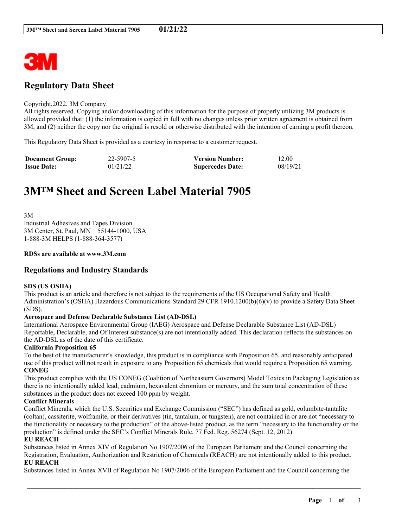

## **Regulatory Data Sheet**

#### Copyright,2022, 3M Company.

All rights reserved. Copying and/or downloading of this information for the purpose of properly utilizing 3M products is allowed provided that: (1) the information is copied in full with no changes unless prior written agreement is obtained from 3M, and (2) neither the copy nor the original is resold or otherwise distributed with the intention of earning a profit thereon.

This Regulatory Data Sheet is provided as a courtesy in response to a customer request.

| <b>Document Group:</b> | 22-5907-5 | <b>Version Number:</b>  | 12.00    |
|------------------------|-----------|-------------------------|----------|
| <b>Issue Date:</b>     | 01/21/22  | <b>Supercedes Date:</b> | 08/19/21 |

# **3M™ Sheet and Screen Label Material 7905**

3M Industrial Adhesives and Tapes Division 3M Center, St. Paul, MN 55144-1000, USA 1-888-3M HELPS (1-888-364-3577)

#### **RDSs are available at www.3M.com**

## **Regulations and Industry Standards**

#### **SDS (US OSHA)**

This product is an article and therefore is not subject to the requirements of the US Occupational Safety and Health Administration's (OSHA) Hazardous Communications Standard 29 CFR 1910.1200(b)(6)(v) to provide a Safety Data Sheet (SDS).

#### **Aerospace and Defense Declarable Substance List (AD-DSL)**

International Aerospace Environmental Group (IAEG) Aerospace and Defense Declarable Substance List (AD-DSL) Reportable, Declarable, and Of Interest substance(s) are not intentionally added. This declaration reflects the substances on the AD-DSL as of the date of this certificate.

#### **California Proposition 65**

To the best of the manufacturer's knowledge, this product is in compliance with Proposition 65, and reasonably anticipated use of this product will not result in exposure to any Proposition 65 chemicals that would require a Proposition 65 warning. **CONEG**

This product complies with the US CONEG (Coalition of Northeastern Governors) Model Toxics in Packaging Legislation as there is no intentionally added lead, cadmium, hexavalent chromium or mercury, and the sum total concentration of these substances in the product does not exceed 100 ppm by weight.

#### **Conflict Minerals**

Conflict Minerals, which the U.S. Securities and Exchange Commission ("SEC") has defined as gold, columbite-tantalite (coltan), cassiterite, wolframite, or their derivatives (tin, tantalum, or tungsten), are not contained in or are not "necessary to the functionality or necessary to the production" of the above-listed product, as the term "necessary to the functionality or the production" is defined under the SEC's Conflict Minerals Rule. 77 Fed. Reg. 56274 (Sept. 12, 2012).

## **EU REACH**

Substances listed in Annex XIV of Regulation No 1907/2006 of the European Parliament and the Council concerning the Registration, Evaluation, Authorization and Restriction of Chemicals (REACH) are not intentionally added to this product. **EU REACH**

Substances listed in Annex XVII of Regulation No 1907/2006 of the European Parliament and the Council concerning the

\_\_\_\_\_\_\_\_\_\_\_\_\_\_\_\_\_\_\_\_\_\_\_\_\_\_\_\_\_\_\_\_\_\_\_\_\_\_\_\_\_\_\_\_\_\_\_\_\_\_\_\_\_\_\_\_\_\_\_\_\_\_\_\_\_\_\_\_\_\_\_\_\_\_\_\_\_\_\_\_\_\_\_\_\_\_\_\_\_\_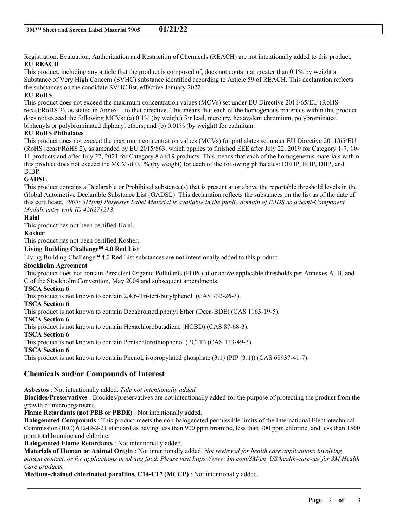Registration, Evaluation, Authorization and Restriction of Chemicals (REACH) are not intentionally added to this product. **EU REACH**

This product, including any article that the product is composed of, does not contain at greater than 0.1% by weight a Substance of Very High Concern (SVHC) substance identified according to Article 59 of REACH. This declaration reflects the substances on the candidate SVHC list, effective January 2022.

## **EU RoHS**

This product does not exceed the maximum concentration values (MCVs) set under EU Directive 2011/65/EU (RoHS recast/RoHS 2), as stated in Annex II to that directive. This means that each of the homogenous materials within this product does not exceed the following MCVs: (a) 0.1% (by weight) for lead, mercury, hexavalent chromium, polybrominated biphenyls or polybrominated diphenyl ethers; and (b) 0.01% (by weight) for cadmium.

## **EU RoHS Phthalates**

This product does not exceed the maximum concentration values (MCVs) for phthalates set under EU Directive 2011/65/EU (RoHS recast/RoHS 2), as amended by EU 2015/863, which applies to finished EEE after July 22, 2019 for Category 1-7, 10- 11 products and after July 22, 2021 for Category 8 and 9 products. This means that each of the homogeneous materials within this product does not exceed the MCV of 0.1% (by weight) for each of the following phthalates: DEHP, BBP, DBP, and DIBP.

## **GADSL**

This product contains a Declarable or Prohibited substance(s) that is present at or above the reportable threshold levels in the Global Automotive Declarable Substance List (GADSL). This declaration reflects the substances on the list as of the date of this certificate. 7905:  $3M$ (tm) Polyester Label Material is available in the public domain of IMDS as a Semi-Component *Module entry with ID 426271213.*

## **Halal**

This product has not been certified Halal.

#### **Kosher**

This product has not been certified Kosher.

#### **Living Building Challenge℠ 4.0 Red List**

Living Building Challenge℠ 4.0 Red List substances are not intentionally added to this product.

## **Stockholm Agreement**

This product does not contain Persistent Organic Pollutants (POPs) at or above applicable thresholds per Annexes A, B, and C of the Stockholm Convention, May 2004 and subsequent amendments.

## **TSCA Section 6**

This product is not known to contain 2,4,6-Tri-tert-butylphenol (CAS 732-26-3).

## **TSCA Section 6**

This product is not known to contain Decabromodiphenyl Ether (Deca-BDE) (CAS 1163-19-5).

#### **TSCA Section 6**

This product is not known to contain Hexachlorobutadiene (HCBD) (CAS 87-68-3).

## **TSCA Section 6**

This product is not known to contain Pentachlorothiophenol (PCTP) (CAS 133-49-3).

**TSCA Section 6**

This product is not known to contain Phenol, isopropylated phosphate (3:1) (PIP (3:1)) (CAS 68937-41-7).

## **Chemicals and/or Compounds of Interest**

**Asbestos** : Not intentionally added. *Talc not intentionally added.*

**Biocides/Preservatives** : Biocides/preservatives are not intentionally added for the purpose of protecting the product from the growth of microorganisms.

**Flame Retardants (not PBB or PBDE)** : Not intentionally added.

**Halogenated Compounds** : This product meets the non-halogenated permissible limits of the International Electrotechnical Commission (IEC) 61249-2-21 standard as having less than 900 ppm bromine, less than 900 ppm chlorine, and less than 1500 ppm total bromine and chlorine.

**Halogenated Flame Retardants** : Not intentionally added.

**Materials of Human or Animal Origin** : Not intentionally added. *Not reviewed for health care applications involving patient contact, or for applications involving food. Please visit https://www.3m.com/3M/en\_US/health-care-us/ for 3M Health Care products.*

\_\_\_\_\_\_\_\_\_\_\_\_\_\_\_\_\_\_\_\_\_\_\_\_\_\_\_\_\_\_\_\_\_\_\_\_\_\_\_\_\_\_\_\_\_\_\_\_\_\_\_\_\_\_\_\_\_\_\_\_\_\_\_\_\_\_\_\_\_\_\_\_\_\_\_\_\_\_\_\_\_\_\_\_\_\_\_\_\_\_

**Medium-chained chlorinated paraffins, C14-C17 (MCCP)** : Not intentionally added.